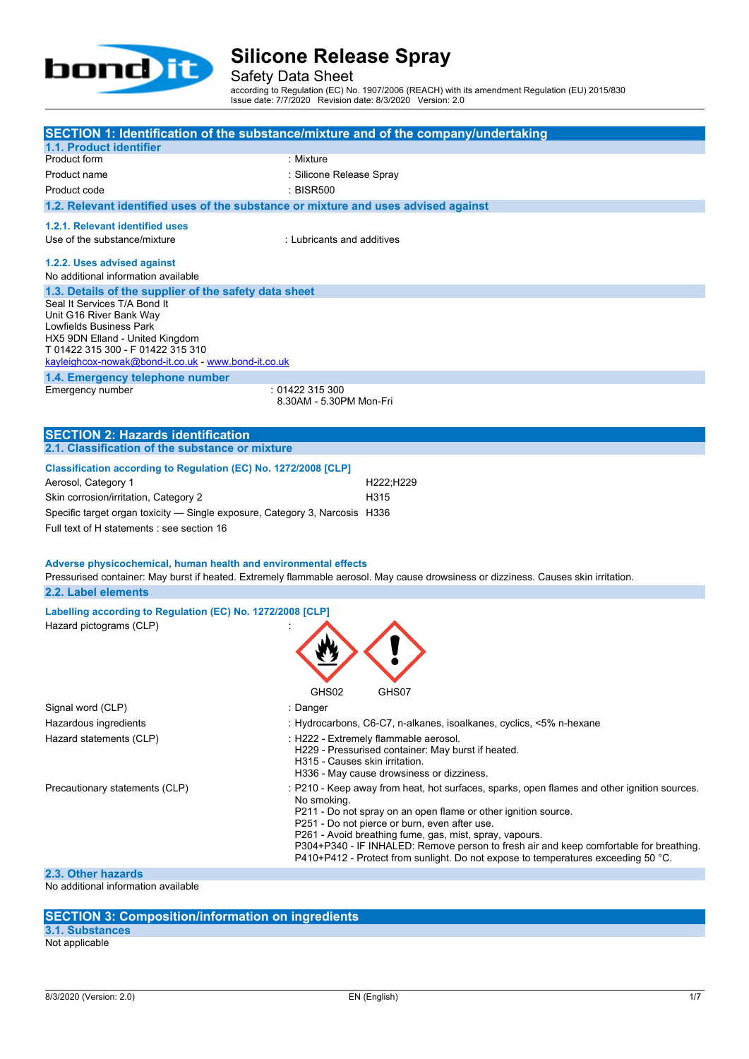

Safety Data Sheet

according to Regulation (EC) No. 1907/2006 (REACH) with its amendment Regulation (EU) 2015/830 Issue date: 7/7/2020 Revision date: 8/3/2020 Version: 2.0

|                                                                                    | SECTION 1: Identification of the substance/mixture and of the company/undertaking                                                   |
|------------------------------------------------------------------------------------|-------------------------------------------------------------------------------------------------------------------------------------|
| 1.1. Product identifier                                                            |                                                                                                                                     |
| Product form                                                                       | : Mixture                                                                                                                           |
| Product name                                                                       | : Silicone Release Spray                                                                                                            |
| Product code                                                                       | : BISR500                                                                                                                           |
| 1.2. Relevant identified uses of the substance or mixture and uses advised against |                                                                                                                                     |
| 1.2.1. Relevant identified uses                                                    |                                                                                                                                     |
| Use of the substance/mixture                                                       | : Lubricants and additives                                                                                                          |
| 1.2.2. Uses advised against                                                        |                                                                                                                                     |
| No additional information available                                                |                                                                                                                                     |
| 1.3. Details of the supplier of the safety data sheet                              |                                                                                                                                     |
| Seal It Services T/A Bond It<br>Unit G16 River Bank Way                            |                                                                                                                                     |
| Lowfields Business Park                                                            |                                                                                                                                     |
| HX5 9DN Elland - United Kingdom                                                    |                                                                                                                                     |
| T 01422 315 300 - F 01422 315 310                                                  |                                                                                                                                     |
| kayleighcox-nowak@bond-it.co.uk - www.bond-it.co.uk                                |                                                                                                                                     |
| 1.4. Emergency telephone number                                                    |                                                                                                                                     |
| Emergency number                                                                   | :01422315300<br>8.30AM - 5.30PM Mon-Fri                                                                                             |
|                                                                                    |                                                                                                                                     |
| <b>SECTION 2: Hazards identification</b>                                           |                                                                                                                                     |
| 2.1. Classification of the substance or mixture                                    |                                                                                                                                     |
| Classification according to Regulation (EC) No. 1272/2008 [CLP]                    |                                                                                                                                     |
| Aerosol, Category 1                                                                | H222;H229                                                                                                                           |
|                                                                                    |                                                                                                                                     |
| Skin corrosion/irritation, Category 2                                              | H315                                                                                                                                |
| Specific target organ toxicity - Single exposure, Category 3, Narcosis H336        |                                                                                                                                     |
| Full text of H statements : see section 16                                         |                                                                                                                                     |
|                                                                                    |                                                                                                                                     |
| Adverse physicochemical, human health and environmental effects                    |                                                                                                                                     |
|                                                                                    | Pressurised container: May burst if heated. Extremely flammable aerosol. May cause drowsiness or dizziness. Causes skin irritation. |
| 2.2. Label elements                                                                |                                                                                                                                     |
| Labelling according to Regulation (EC) No. 1272/2008 [CLP]                         |                                                                                                                                     |
| Hazard pictograms (CLP)                                                            |                                                                                                                                     |
|                                                                                    |                                                                                                                                     |
|                                                                                    |                                                                                                                                     |
|                                                                                    |                                                                                                                                     |
|                                                                                    |                                                                                                                                     |
|                                                                                    | GHS02<br>GHS07                                                                                                                      |
| Signal word (CLP)                                                                  | :Danger                                                                                                                             |
| Hazardous ingredients                                                              | : Hydrocarbons, C6-C7, n-alkanes, isoalkanes, cyclics, <5% n-hexane                                                                 |
| Hazard statements (CLP)                                                            | : H222 - Extremely flammable aerosol.                                                                                               |
|                                                                                    | H229 - Pressurised container: May burst if heated.                                                                                  |
|                                                                                    | H315 - Causes skin irritation.<br>H336 - May cause drowsiness or dizziness.                                                         |
| Precautionary statements (CLP)                                                     | : P210 - Keep away from heat, hot surfaces, sparks, open flames and other ignition sources.                                         |

P304+P340 - IF INHALED: Remove person to fresh air and keep comfortable for breathing. P410+P412 - Protect from sunlight. Do not expose to temperatures exceeding 50 °C.

P261 - Avoid breathing fume, gas, mist, spray, vapours.

P251 - Do not pierce or burn, even after use.

P211 - Do not spray on an open flame or other ignition source.

**2.3. Other hazards**

No additional information available

## **SECTION 3: Composition/information on ingredients**

## **3.1. Substances**

Not applicable

No smoking.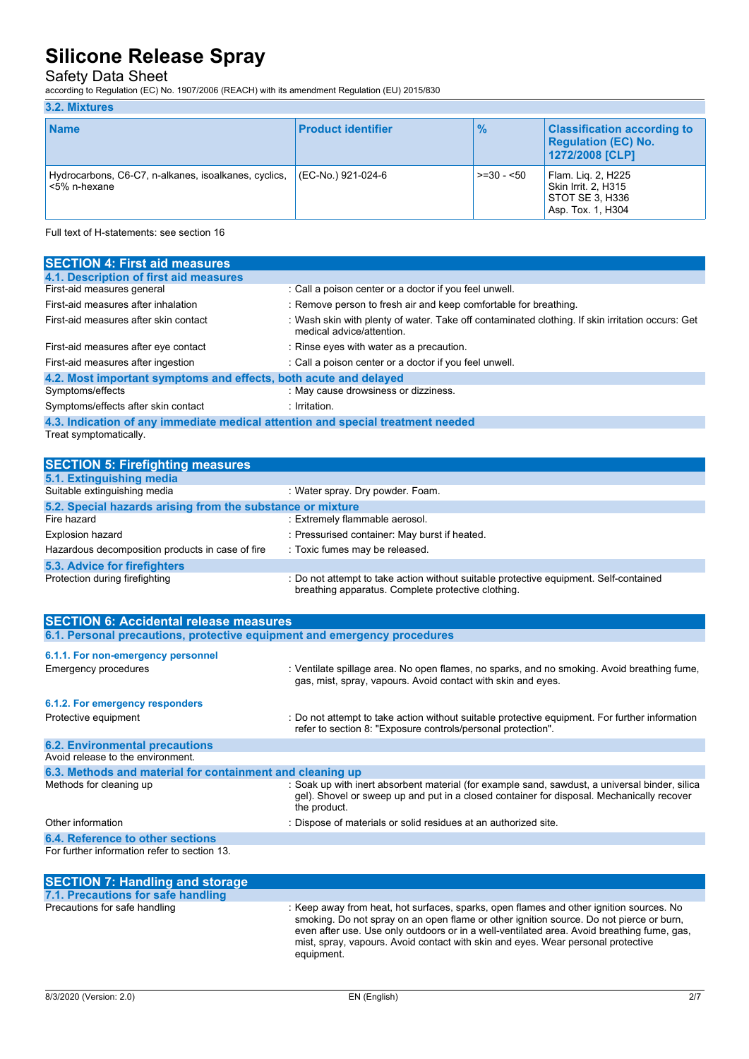## Safety Data Sheet

according to Regulation (EC) No. 1907/2006 (REACH) with its amendment Regulation (EU) 2015/830

#### **3.2. Mixtures**

| <b>Name</b>                                                          | <b>Product identifier</b> | $\frac{9}{6}$ | <b>Classification according to</b><br><b>Regulation (EC) No.</b><br>1272/2008 [CLP]      |
|----------------------------------------------------------------------|---------------------------|---------------|------------------------------------------------------------------------------------------|
| Hydrocarbons, C6-C7, n-alkanes, isoalkanes, cyclics,<br><5% n-hexane | (EC-No.) 921-024-6        | $> = 30 - 50$ | Flam. Lig. 2, H225<br><b>Skin Irrit. 2. H315</b><br>STOT SE 3. H336<br>Asp. Tox. 1, H304 |

Full text of H-statements: see section 16

| <b>SECTION 4: First aid measures</b>                                            |                                                                                                                               |
|---------------------------------------------------------------------------------|-------------------------------------------------------------------------------------------------------------------------------|
| 4.1. Description of first aid measures                                          |                                                                                                                               |
| First-aid measures general                                                      | : Call a poison center or a doctor if you feel unwell.                                                                        |
| First-aid measures after inhalation                                             | : Remove person to fresh air and keep comfortable for breathing.                                                              |
| First-aid measures after skin contact                                           | : Wash skin with plenty of water. Take off contaminated clothing. If skin irritation occurs: Get<br>medical advice/attention. |
| First-aid measures after eye contact                                            | : Rinse eyes with water as a precaution.                                                                                      |
| First-aid measures after ingestion                                              | : Call a poison center or a doctor if you feel unwell.                                                                        |
| 4.2. Most important symptoms and effects, both acute and delayed                |                                                                                                                               |
| Symptoms/effects                                                                | : May cause drowsiness or dizziness.                                                                                          |
| Symptoms/effects after skin contact                                             | : Irritation.                                                                                                                 |
| 4.3. Indication of any immediate medical attention and special treatment needed |                                                                                                                               |

Treat symptomatically.

| <b>SECTION 5: Firefighting measures</b>                    |                                                                                                                                             |  |  |
|------------------------------------------------------------|---------------------------------------------------------------------------------------------------------------------------------------------|--|--|
| 5.1. Extinguishing media                                   |                                                                                                                                             |  |  |
| Suitable extinguishing media                               | : Water spray. Dry powder. Foam.                                                                                                            |  |  |
| 5.2. Special hazards arising from the substance or mixture |                                                                                                                                             |  |  |
| Fire hazard                                                | : Extremely flammable aerosol.                                                                                                              |  |  |
| Explosion hazard                                           | : Pressurised container: May burst if heated.                                                                                               |  |  |
| Hazardous decomposition products in case of fire           | : Toxic fumes may be released.                                                                                                              |  |  |
| 5.3. Advice for firefighters                               |                                                                                                                                             |  |  |
| Protection during firefighting                             | : Do not attempt to take action without suitable protective equipment. Self-contained<br>breathing apparatus. Complete protective clothing. |  |  |

| <b>SECTION 6: Accidental release measures</b>                            |                                                                                                                                                                                                             |  |  |
|--------------------------------------------------------------------------|-------------------------------------------------------------------------------------------------------------------------------------------------------------------------------------------------------------|--|--|
| 6.1. Personal precautions, protective equipment and emergency procedures |                                                                                                                                                                                                             |  |  |
| 6.1.1. For non-emergency personnel                                       |                                                                                                                                                                                                             |  |  |
| Emergency procedures                                                     | : Ventilate spillage area. No open flames, no sparks, and no smoking. Avoid breathing fume,<br>gas, mist, spray, vapours. Avoid contact with skin and eyes.                                                 |  |  |
| 6.1.2. For emergency responders                                          |                                                                                                                                                                                                             |  |  |
| Protective equipment                                                     | : Do not attempt to take action without suitable protective equipment. For further information<br>refer to section 8: "Exposure controls/personal protection".                                              |  |  |
| <b>6.2. Environmental precautions</b>                                    |                                                                                                                                                                                                             |  |  |
| Avoid release to the environment.                                        |                                                                                                                                                                                                             |  |  |
| 6.3. Methods and material for containment and cleaning up                |                                                                                                                                                                                                             |  |  |
| Methods for cleaning up                                                  | : Soak up with inert absorbent material (for example sand, sawdust, a universal binder, silica<br>gel). Shovel or sweep up and put in a closed container for disposal. Mechanically recover<br>the product. |  |  |
| Other information                                                        | : Dispose of materials or solid residues at an authorized site.                                                                                                                                             |  |  |
| 6.4. Reference to other sections                                         |                                                                                                                                                                                                             |  |  |
| For further information refer to section 13.                             |                                                                                                                                                                                                             |  |  |
| <b>SECTION 7: Handling and storage</b>                                   |                                                                                                                                                                                                             |  |  |

| 7.1. Precautions for safe handling |                                                                                                                                                                                                                                                                                                                                                                                    |
|------------------------------------|------------------------------------------------------------------------------------------------------------------------------------------------------------------------------------------------------------------------------------------------------------------------------------------------------------------------------------------------------------------------------------|
| Precautions for safe handling      | : Keep away from heat, hot surfaces, sparks, open flames and other ignition sources. No<br>smoking. Do not spray on an open flame or other ignition source. Do not pierce or burn,<br>even after use. Use only outdoors or in a well-ventilated area. Avoid breathing fume, gas,<br>mist, spray, vapours. Avoid contact with skin and eyes. Wear personal protective<br>equipment. |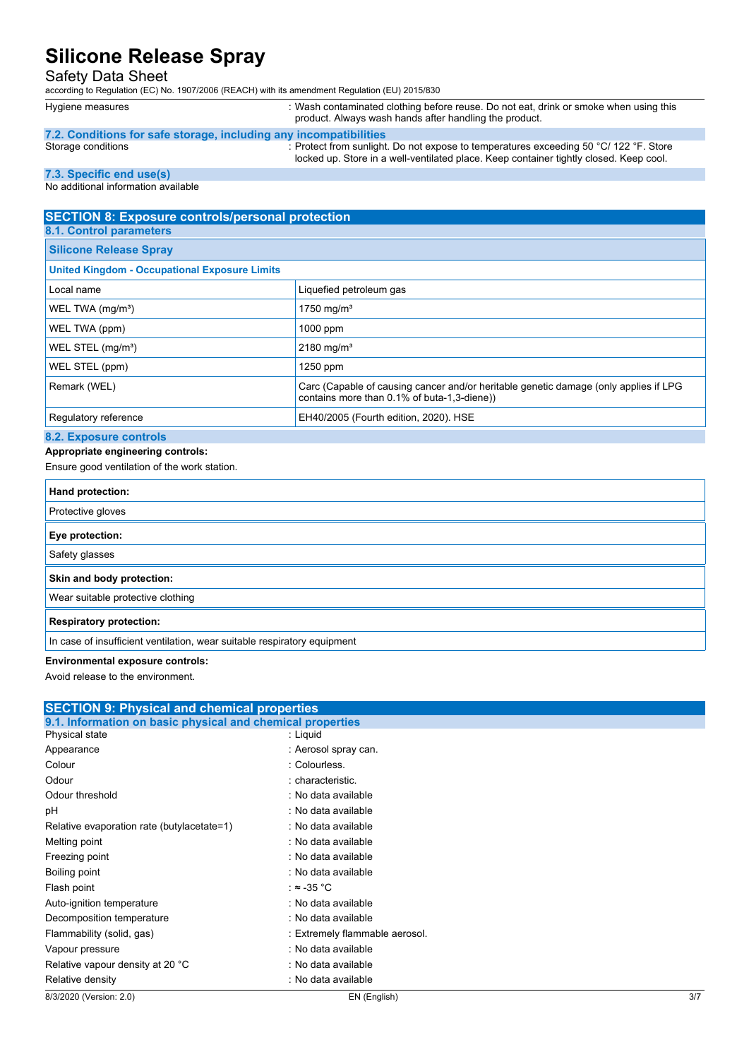### Safety Data Sheet

according to Regulation (EC) No. 1907/2006 (REACH) with its amendment Regulation (EU) 2015/830

Hygiene measures **interval of the state of the state of the state of the state of the state of the state when using this** in Hygiene measures **interval of the state of the state of the state of the state of the state of th** product. Always wash hands after handling the product.

#### **7.2. Conditions for safe storage, including any incompatibilities**

Storage conditions state of the conditions of the conditional conditional conditions of the conditions of the conditions of the conditions of the conditions of the conditions of the conditions of the conditions of the cond locked up. Store in a well-ventilated place. Keep container tightly closed. Keep cool.

### **7.3. Specific end use(s)**

#### No additional information available

## **SECTION 8: Exposure controls/personal protection**

| 8.1. Control parameters       |  |
|-------------------------------|--|
| <b>Silicone Release Spray</b> |  |
|                               |  |

### **United Kingdom - Occupational Exposure Limits**

| <u>United Kingdom - Occupational Exposure Elimits</u> |                                                                                                                                     |
|-------------------------------------------------------|-------------------------------------------------------------------------------------------------------------------------------------|
| Local name                                            | Liquefied petroleum gas                                                                                                             |
| WEL TWA $(mg/m3)$                                     | 1750 mg/m <sup>3</sup>                                                                                                              |
| WEL TWA (ppm)                                         | $1000$ ppm                                                                                                                          |
| WEL STEL $(mg/m3)$                                    | 2180 mg/m <sup>3</sup>                                                                                                              |
| WEL STEL (ppm)                                        | $1250$ ppm                                                                                                                          |
| Remark (WEL)                                          | Carc (Capable of causing cancer and/or heritable genetic damage (only applies if LPG<br>contains more than 0.1% of buta-1,3-diene)) |
| Regulatory reference                                  | EH40/2005 (Fourth edition, 2020). HSE                                                                                               |
|                                                       |                                                                                                                                     |

### **8.2. Exposure controls**

#### **Appropriate engineering controls:**

Ensure good ventilation of the work station.

| Hand protection:                                                         |
|--------------------------------------------------------------------------|
| Protective gloves                                                        |
| Eye protection:                                                          |
| Safety glasses                                                           |
| Skin and body protection:                                                |
| Wear suitable protective clothing                                        |
| <b>Respiratory protection:</b>                                           |
| In case of insufficient ventilation, wear suitable respiratory equipment |

**Environmental exposure controls:**

Avoid release to the environment.

| <b>SECTION 9: Physical and chemical properties</b>         |                                |     |
|------------------------------------------------------------|--------------------------------|-----|
| 9.1. Information on basic physical and chemical properties |                                |     |
| Physical state                                             | : Liquid                       |     |
| Appearance                                                 | : Aerosol spray can.           |     |
| Colour                                                     | : Colourless.                  |     |
| Odour                                                      | : characteristic.              |     |
| Odour threshold                                            | : No data available            |     |
| рH                                                         | : No data available            |     |
| Relative evaporation rate (butylacetate=1)                 | : No data available            |     |
| Melting point                                              | : No data available            |     |
| Freezing point                                             | : No data available            |     |
| Boiling point                                              | : No data available            |     |
| Flash point                                                | : ≈ -35 °C                     |     |
| Auto-ignition temperature                                  | : No data available            |     |
| Decomposition temperature                                  | : No data available            |     |
| Flammability (solid, gas)                                  | : Extremely flammable aerosol. |     |
| Vapour pressure                                            | : No data available            |     |
| Relative vapour density at 20 °C                           | : No data available            |     |
| Relative density                                           | : No data available            |     |
| 8/3/2020 (Version: 2.0)                                    | EN (English)                   | 3/7 |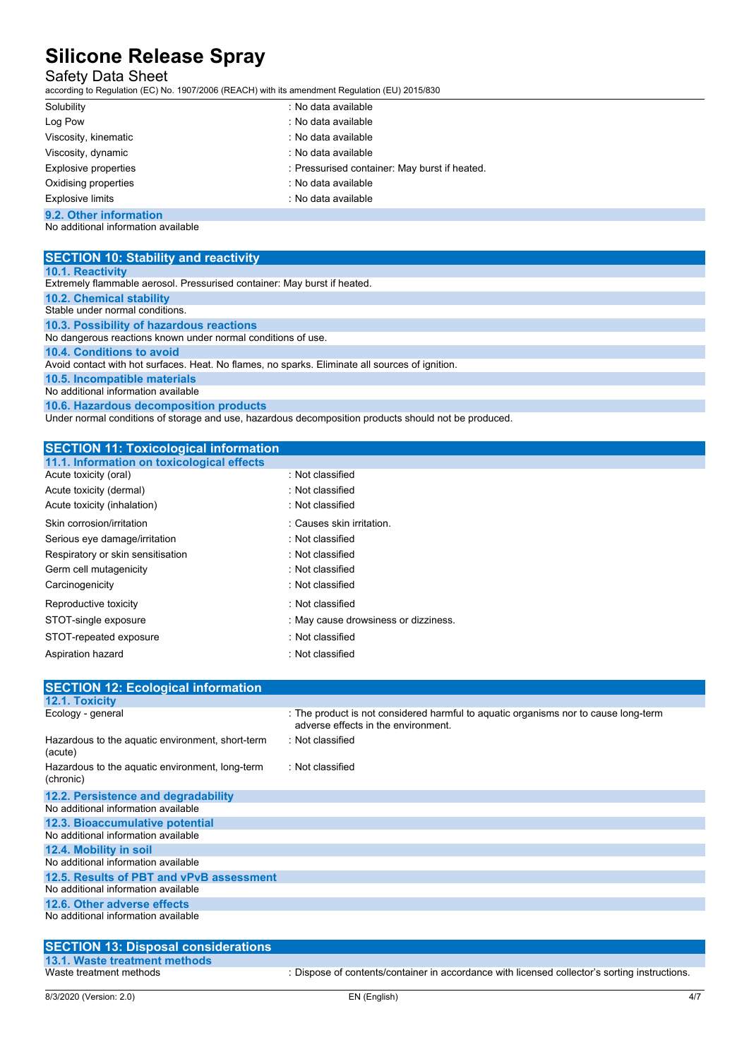## Safety Data Sheet

according to Regulation (EC) No. 1907/2006 (REACH) with its amendment Regulation (EU) 2015/830

| Solubility              | : No data available                           |
|-------------------------|-----------------------------------------------|
| Log Pow                 | : No data available                           |
| Viscosity, kinematic    | : No data available                           |
| Viscosity, dynamic      | : No data available                           |
| Explosive properties    | : Pressurised container: May burst if heated. |
| Oxidising properties    | : No data available                           |
| <b>Explosive limits</b> | : No data available                           |
| 9.2. Other information  |                                               |
|                         |                                               |

No additional information available

| <b>SECTION 10: Stability and reactivity</b>                                                     |
|-------------------------------------------------------------------------------------------------|
| 10.1. Reactivity                                                                                |
| Extremely flammable aerosol. Pressurised container: May burst if heated.                        |
| <b>10.2. Chemical stability</b>                                                                 |
| Stable under normal conditions.                                                                 |
| 10.3. Possibility of hazardous reactions                                                        |
| No dangerous reactions known under normal conditions of use.                                    |
| <b>10.4. Conditions to avoid</b>                                                                |
| Avoid contact with hot surfaces. Heat. No flames, no sparks. Eliminate all sources of ignition. |
| 10.5. Incompatible materials                                                                    |
| No additional information available                                                             |
| 10.6. Hazardous decomposition products                                                          |
|                                                                                                 |

Under normal conditions of storage and use, hazardous decomposition products should not be produced.

| <b>SECTION 11: Toxicological information</b> |                                      |
|----------------------------------------------|--------------------------------------|
| 11.1. Information on toxicological effects   |                                      |
| Acute toxicity (oral)                        | : Not classified                     |
| Acute toxicity (dermal)                      | : Not classified                     |
| Acute toxicity (inhalation)                  | : Not classified                     |
| Skin corrosion/irritation                    | : Causes skin irritation.            |
| Serious eye damage/irritation                | : Not classified                     |
| Respiratory or skin sensitisation            | : Not classified                     |
| Germ cell mutagenicity                       | : Not classified                     |
| Carcinogenicity                              | : Not classified                     |
| Reproductive toxicity                        | : Not classified                     |
| STOT-single exposure                         | : May cause drowsiness or dizziness. |
| STOT-repeated exposure                       | : Not classified                     |
| Aspiration hazard                            | : Not classified                     |

| <b>SECTION 12: Ecological information</b>                    |                                                                                                                            |
|--------------------------------------------------------------|----------------------------------------------------------------------------------------------------------------------------|
| 12.1. Toxicity                                               |                                                                                                                            |
| Ecology - general                                            | : The product is not considered harmful to aquatic organisms nor to cause long-term<br>adverse effects in the environment. |
| Hazardous to the aquatic environment, short-term<br>(acute)  | : Not classified                                                                                                           |
| Hazardous to the aquatic environment, long-term<br>(chronic) | : Not classified                                                                                                           |
| 12.2. Persistence and degradability                          |                                                                                                                            |
| No additional information available                          |                                                                                                                            |
| 12.3. Bioaccumulative potential                              |                                                                                                                            |
| No additional information available                          |                                                                                                                            |
| 12.4. Mobility in soil                                       |                                                                                                                            |
| No additional information available                          |                                                                                                                            |
| 12.5. Results of PBT and vPvB assessment                     |                                                                                                                            |
| No additional information available                          |                                                                                                                            |
| 12.6. Other adverse effects                                  |                                                                                                                            |
| No additional information available                          |                                                                                                                            |
|                                                              |                                                                                                                            |

**SECTION 13: Disposal considerations**

**13.1. Waste treatment methods**

: Dispose of contents/container in accordance with licensed collector's sorting instructions.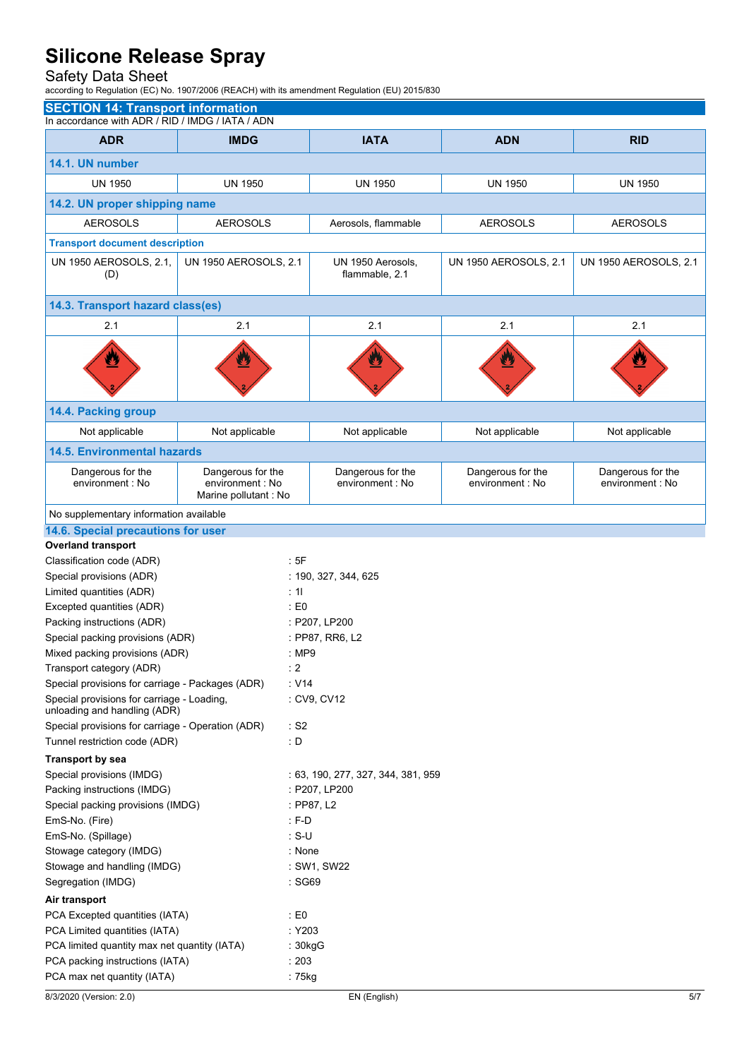## Safety Data Sheet

according to Regulation (EC) No. 1907/2006 (REACH) with its amendment Regulation (EU) 2015/830

|                                                                            | <b>SECTION 14: Transport information</b><br>In accordance with ADR / RID / IMDG / IATA / ADN |                                     |                       |                       |  |
|----------------------------------------------------------------------------|----------------------------------------------------------------------------------------------|-------------------------------------|-----------------------|-----------------------|--|
|                                                                            |                                                                                              |                                     |                       |                       |  |
| <b>ADR</b>                                                                 | <b>IMDG</b>                                                                                  | <b>IATA</b>                         | <b>ADN</b>            | <b>RID</b>            |  |
| 14.1. UN number                                                            |                                                                                              |                                     |                       |                       |  |
| <b>UN 1950</b>                                                             | <b>UN 1950</b>                                                                               | <b>UN 1950</b>                      | <b>UN 1950</b>        | <b>UN 1950</b>        |  |
| 14.2. UN proper shipping name                                              |                                                                                              |                                     |                       |                       |  |
| <b>AEROSOLS</b>                                                            | <b>AEROSOLS</b>                                                                              | Aerosols, flammable                 | <b>AEROSOLS</b>       | <b>AEROSOLS</b>       |  |
| <b>Transport document description</b>                                      |                                                                                              |                                     |                       |                       |  |
|                                                                            |                                                                                              |                                     |                       |                       |  |
| UN 1950 AEROSOLS, 2.1,<br>(D)                                              | UN 1950 AEROSOLS, 2.1                                                                        | UN 1950 Aerosols,<br>flammable, 2.1 | UN 1950 AEROSOLS, 2.1 | UN 1950 AEROSOLS, 2.1 |  |
| 14.3. Transport hazard class(es)                                           |                                                                                              |                                     |                       |                       |  |
| 2.1                                                                        | 2.1                                                                                          | 2.1                                 | 2.1                   | 2.1                   |  |
|                                                                            | W                                                                                            |                                     | U                     |                       |  |
| 14.4. Packing group                                                        |                                                                                              |                                     |                       |                       |  |
| Not applicable                                                             | Not applicable                                                                               | Not applicable                      | Not applicable        | Not applicable        |  |
| <b>14.5. Environmental hazards</b>                                         |                                                                                              |                                     |                       |                       |  |
| Dangerous for the                                                          | Dangerous for the                                                                            | Dangerous for the                   | Dangerous for the     | Dangerous for the     |  |
| environment : No                                                           | environment : No<br>Marine pollutant : No                                                    | environment : No                    | environment : No      | environment : No      |  |
| No supplementary information available                                     |                                                                                              |                                     |                       |                       |  |
| 14.6. Special precautions for user                                         |                                                                                              |                                     |                       |                       |  |
| <b>Overland transport</b>                                                  |                                                                                              |                                     |                       |                       |  |
| Classification code (ADR)                                                  | :5F                                                                                          |                                     |                       |                       |  |
| Special provisions (ADR)                                                   |                                                                                              | : 190, 327, 344, 625                |                       |                       |  |
| Limited quantities (ADR)                                                   | : 11                                                                                         |                                     |                       |                       |  |
| Excepted quantities (ADR)                                                  | : E0                                                                                         |                                     |                       |                       |  |
| Packing instructions (ADR)                                                 |                                                                                              | : P207, LP200                       |                       |                       |  |
| Special packing provisions (ADR)                                           |                                                                                              | : PP87, RR6, L2                     |                       |                       |  |
| Mixed packing provisions (ADR)                                             |                                                                                              | : MP9                               |                       |                       |  |
| Transport category (ADR)                                                   |                                                                                              | : 2                                 |                       |                       |  |
| Special provisions for carriage - Packages (ADR)                           |                                                                                              | $\cdot$ V14                         |                       |                       |  |
| Special provisions for carriage - Loading,<br>unloading and handling (ADR) |                                                                                              | : CV9, CV12                         |                       |                       |  |
| Special provisions for carriage - Operation (ADR)                          |                                                                                              | : S2                                |                       |                       |  |
| Tunnel restriction code (ADR)                                              | : D                                                                                          |                                     |                       |                       |  |
| Transport by sea                                                           |                                                                                              |                                     |                       |                       |  |
| Special provisions (IMDG)                                                  |                                                                                              | : 63, 190, 277, 327, 344, 381, 959  |                       |                       |  |
| Packing instructions (IMDG)                                                |                                                                                              | : P207, LP200                       |                       |                       |  |
| Special packing provisions (IMDG)                                          |                                                                                              | : PP87, L2                          |                       |                       |  |
| EmS-No. (Fire)                                                             | $: F-D$                                                                                      |                                     |                       |                       |  |
| EmS-No. (Spillage)                                                         | $: S-U$                                                                                      |                                     |                       |                       |  |
| Stowage category (IMDG)                                                    |                                                                                              | : None                              |                       |                       |  |
| Stowage and handling (IMDG)<br>Segregation (IMDG)                          |                                                                                              | : SW1, SW22<br>: SG69               |                       |                       |  |
| Air transport                                                              |                                                                                              |                                     |                       |                       |  |
| PCA Excepted quantities (IATA)                                             | $\pm 50$                                                                                     |                                     |                       |                       |  |
| PCA Limited quantities (IATA)                                              |                                                                                              | : Y203                              |                       |                       |  |
| PCA limited quantity max net quantity (IATA)                               |                                                                                              | : 30kgG                             |                       |                       |  |
| PCA packing instructions (IATA)                                            | : 203                                                                                        |                                     |                       |                       |  |
| PCA max net quantity (IATA)                                                |                                                                                              | :75kg                               |                       |                       |  |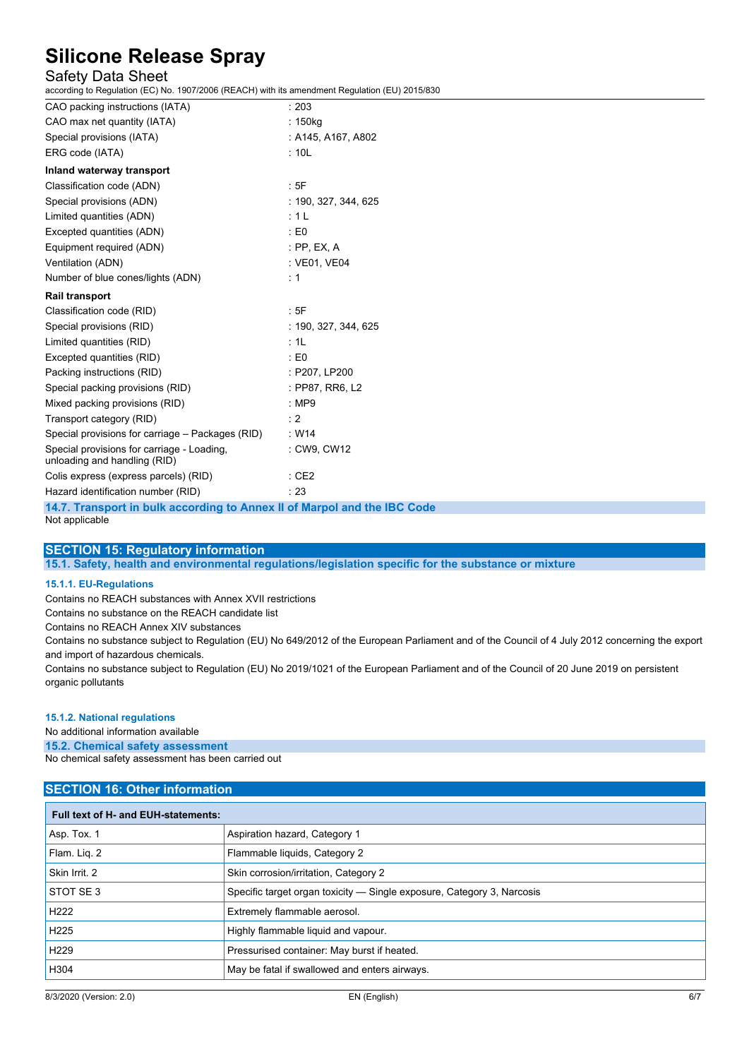## Safety Data Sheet

according to Regulation (EC) No. 1907/2006 (REACH) with its amendment Regulation (EU) 2015/830

| CAO packing instructions (IATA)                                            | : 203                                                         |
|----------------------------------------------------------------------------|---------------------------------------------------------------|
| CAO max net quantity (IATA)                                                | : 150kg                                                       |
| Special provisions (IATA)                                                  | : A145, A167, A802                                            |
| ERG code (IATA)                                                            | : 10L                                                         |
| Inland waterway transport                                                  |                                                               |
| Classification code (ADN)                                                  | :5F                                                           |
| Special provisions (ADN)                                                   | : 190, 327, 344, 625                                          |
| Limited quantities (ADN)                                                   | : 1 L                                                         |
| Excepted quantities (ADN)                                                  | : E0                                                          |
| Equipment required (ADN)                                                   | : PP, EX, A                                                   |
| Ventilation (ADN)                                                          | : VE01, VE04                                                  |
| Number of blue cones/lights (ADN)                                          | : 1                                                           |
| <b>Rail transport</b>                                                      |                                                               |
| Classification code (RID)                                                  | : 5F                                                          |
| Special provisions (RID)                                                   | : 190, 327, 344, 625                                          |
| Limited quantities (RID)                                                   | : 1L                                                          |
| Excepted quantities (RID)                                                  | $\pm 50$                                                      |
| Packing instructions (RID)                                                 | : P207, LP200                                                 |
| Special packing provisions (RID)                                           | : PP87, RR6, L2                                               |
| Mixed packing provisions (RID)                                             | : MP9                                                         |
| Transport category (RID)                                                   | : 2                                                           |
| Special provisions for carriage – Packages (RID)                           | : W14                                                         |
| Special provisions for carriage - Loading,<br>unloading and handling (RID) | : CW9, CW12                                                   |
| Colis express (express parcels) (RID)                                      | :CE2                                                          |
| Hazard identification number (RID)                                         | : 23                                                          |
|                                                                            | $\sim$ $\sim$ $\sim$ $\sim$<br>$\sim$ 1.41 $\sim$ 1.50 $\sim$ |

**14.7. Transport in bulk according to Annex II of Marpol and the IBC Code** Not applicable

#### **SECTION 15: Regulatory information**

**15.1. Safety, health and environmental regulations/legislation specific for the substance or mixture**

### **15.1.1. EU-Regulations**

Contains no REACH substances with Annex XVII restrictions

Contains no substance on the REACH candidate list

Contains no REACH Annex XIV substances

Contains no substance subject to Regulation (EU) No 649/2012 of the European Parliament and of the Council of 4 July 2012 concerning the export and import of hazardous chemicals.

Contains no substance subject to Regulation (EU) No 2019/1021 of the European Parliament and of the Council of 20 June 2019 on persistent organic pollutants

#### **15.1.2. National regulations**

No additional information available

**15.2. Chemical safety assessment**

No chemical safety assessment has been carried out

### **SECTION 16: Other information**

| Full text of H- and EUH-statements: |                                                                        |  |
|-------------------------------------|------------------------------------------------------------------------|--|
| Asp. Tox. 1                         | Aspiration hazard, Category 1                                          |  |
| Flam. Liq. 2                        | Flammable liquids, Category 2                                          |  |
| Skin Irrit. 2                       | Skin corrosion/irritation, Category 2                                  |  |
| STOT SE3                            | Specific target organ toxicity — Single exposure, Category 3, Narcosis |  |
| H <sub>222</sub>                    | Extremely flammable aerosol.                                           |  |
| H <sub>225</sub>                    | Highly flammable liquid and vapour.                                    |  |
| H <sub>229</sub>                    | Pressurised container: May burst if heated.                            |  |
| H304                                | May be fatal if swallowed and enters airways.                          |  |